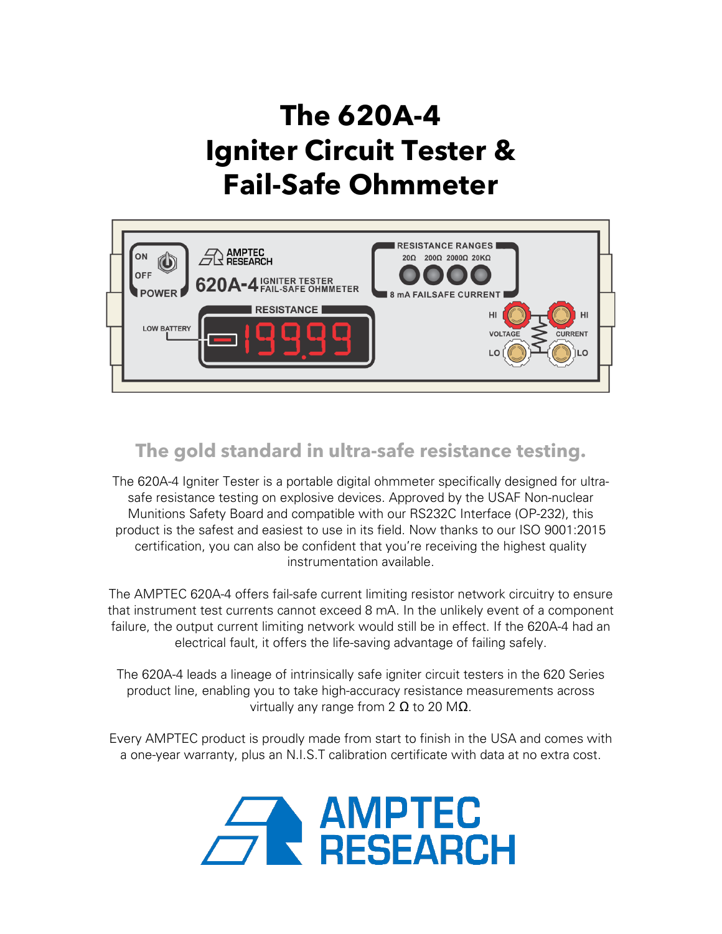# **The 620A-4 Igniter Circuit Tester & Fail-Safe Ohmmeter**



## **The gold standard in ultra-safe resistance testing.**

The 620A-4 Igniter Tester is a portable digital ohmmeter specifically designed for ultrasafe resistance testing on explosive devices. Approved by the USAF Non-nuclear Munitions Safety Board and compatible with our RS232C Interface (OP-232), this product is the safest and easiest to use in its field. Now thanks to our ISO 9001:2015 certification, you can also be confident that you're receiving the highest quality instrumentation available.

The AMPTEC 620A-4 offers fail-safe current limiting resistor network circuitry to ensure that instrument test currents cannot exceed 8 mA. In the unlikely event of a component failure, the output current limiting network would still be in effect. If the 620A-4 had an electrical fault, it offers the life-saving advantage of failing safely.

The 620A-4 leads a lineage of intrinsically safe igniter circuit testers in the 620 Series product line, enabling you to take high-accuracy resistance measurements across virtually any range from 2  $\Omega$  to 20 M $\Omega$ .

Every AMPTEC product is proudly made from start to finish in the USA and comes with a one-year warranty, plus an N.I.S.T calibration certificate with data at no extra cost.

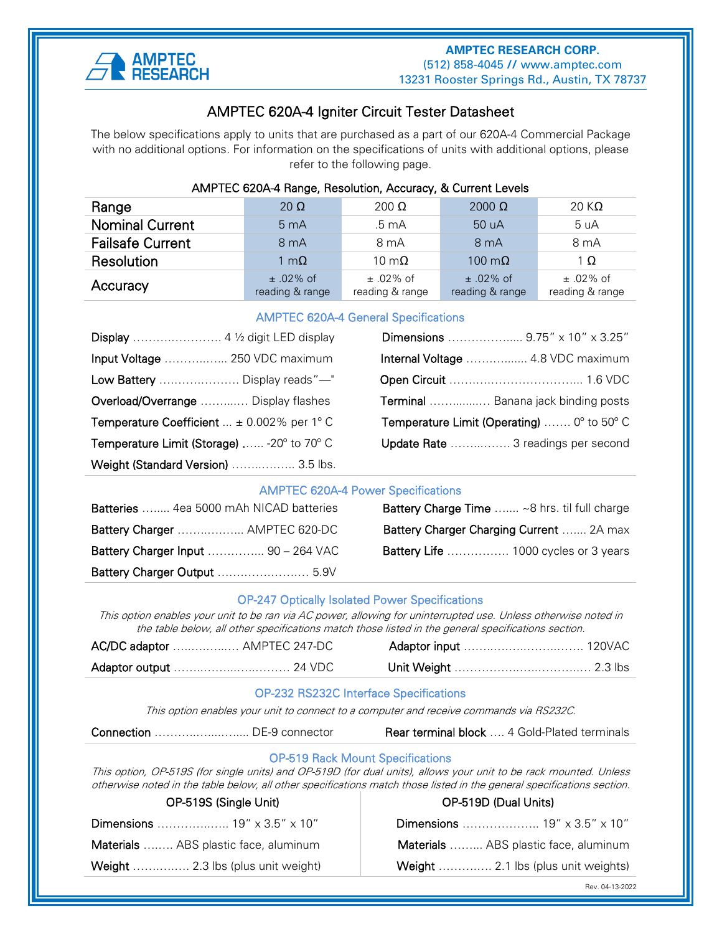

#### ֧֪֚֞֝֬֝֬֝֬֝֬֝֬֝ AMPTEC 620A-4 Igniter Circuit Tester Datasheet

The below specifications apply to units that are purchased as a part of our 620A-4 Commercial Package with no additional options. For information on the specifications of units with additional options, please refer to the following page.

| AMPTEC 620A-4 Range, Resolution, Accuracy, & Current Levels |                                  |                                |                                |                                |
|-------------------------------------------------------------|----------------------------------|--------------------------------|--------------------------------|--------------------------------|
| Range                                                       | 20 $\Omega$                      | $200 \Omega$                   | $2000 \Omega$                  | 20 K $\Omega$                  |
| <b>Nominal Current</b>                                      | 5 <sub>mA</sub>                  | .5 <sub>mA</sub>               | 50 uA                          | 5 uA                           |
| <b>Failsafe Current</b>                                     | 8 <sub>mA</sub>                  | $8 \text{ mA}$                 | 8 <sub>m</sub> A               | 8 <sub>m</sub> A               |
| Resolution                                                  | 1 m $\Omega$                     | 10 m $\Omega$                  | 100 $m\Omega$                  | $1 \Omega$                     |
| Accuracy                                                    | $\pm$ .02% of<br>reading & range | $±.02\%$ of<br>reading & range | $±.02\%$ of<br>reading & range | $±.02\%$ of<br>reading & range |

#### AMPTEC 620A-4 General Specifications

|                                                      | Dimensions  9.75" x 10" x 3.25"                                     |
|------------------------------------------------------|---------------------------------------------------------------------|
| Input Voltage  250 VDC maximum                       | Internal Voltage  4.8 VDC maximum                                   |
| Low Battery  Display reads"—"                        |                                                                     |
| Overload/Overrange  Display flashes                  | Terminal  Banana jack binding posts                                 |
| <b>Temperature Coefficient</b> $\pm$ 0.002% per 1° C | <b>Temperature Limit (Operating)</b> $0^{\circ}$ to 50 $^{\circ}$ C |
| Temperature Limit (Storage)  -20° to 70° C           | Update Rate  3 readings per second                                  |
| Weight (Standard Version)  3.5 lbs.                  |                                                                     |

#### AMPTEC 620A-4 Power Specifications

| Batteries  4ea 5000 mAh NICAD batteries | <b>Battery Charge Time</b> ~8 hrs. til full charge |
|-----------------------------------------|----------------------------------------------------|
| Battery Charger  AMPTEC 620-DC          | Battery Charger Charging Current  2A max           |
| Battery Charger Input  90 - 264 VAC     | <b>Battery Life</b> 1000 cycles or 3 years         |
| Battery Charger Output  5.9V            |                                                    |

#### OP-247 Optically Isolated Power Specifications

This option enables your unit to be ran via AC power, allowing for uninterrupted use. Unless otherwise noted in the table below, all other specifications match those listed in the general specifications section.

| AC/DC adaptor  AMPTEC 247-DC |  |  |
|------------------------------|--|--|
|                              |  |  |

#### OP-232 RS232C Interface Specifications

This option enables your unit to connect to a computer and receive commands via RS232C.

Rear terminal block .... 4 Gold-Plated terminals

#### OP-519 Rack Mount Specifications

This option, OP-519S (for single units) and OP-519D (for dual units), allows your unit to be rack mounted. Unless otherwise noted in the table below, all other specifications match those listed in the general specifications section.

| UP-5195 (Single Unit)                       |  |  |
|---------------------------------------------|--|--|
|                                             |  |  |
| <b>Materials</b> ABS plastic face, aluminum |  |  |
| <b>Weight</b> 2.3 lbs (plus unit weight)    |  |  |
|                                             |  |  |

### OP-519S (Single Unit) OP-519D (Dual Units)

Dimensions ………………... 19" x 3.5" x 10" Materials ………. ABS plastic face, aluminum

Weight ………….. 2.1 lbs (plus unit weights)